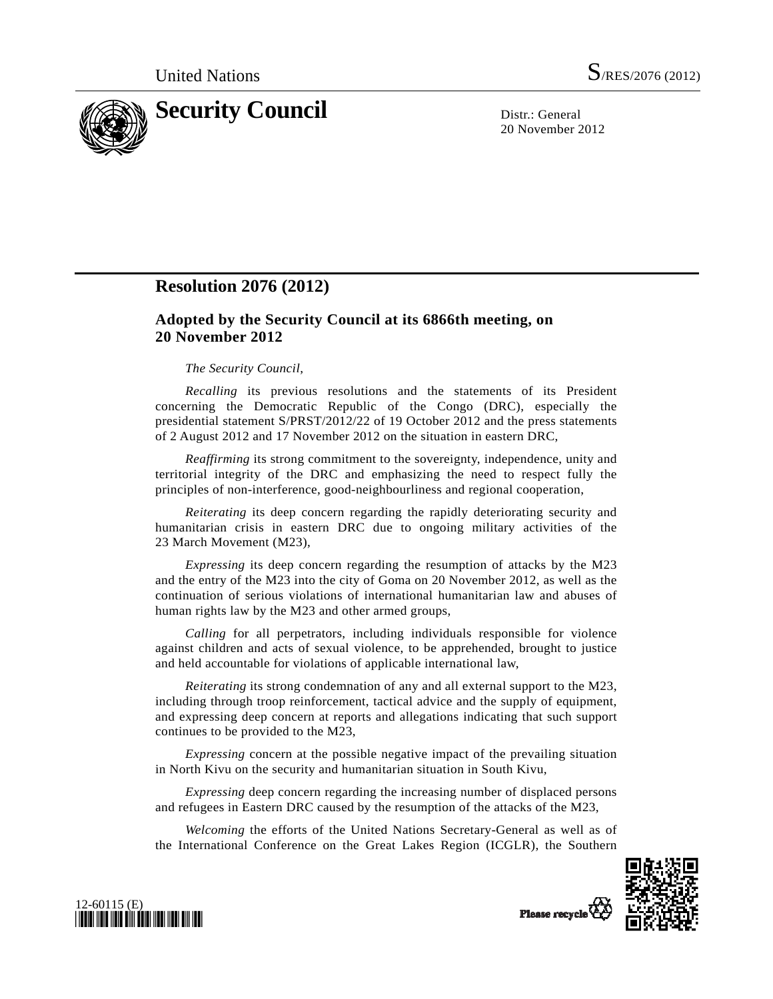

20 November 2012

## **Resolution 2076 (2012)**

## **Adopted by the Security Council at its 6866th meeting, on 20 November 2012**

## *The Security Council*,

*Recalling* its previous resolutions and the statements of its President concerning the Democratic Republic of the Congo (DRC), especially the presidential statement S/PRST/2012/22 of 19 October 2012 and the press statements of 2 August 2012 and 17 November 2012 on the situation in eastern DRC,

*Reaffirming* its strong commitment to the sovereignty, independence, unity and territorial integrity of the DRC and emphasizing the need to respect fully the principles of non-interference, good-neighbourliness and regional cooperation,

*Reiterating* its deep concern regarding the rapidly deteriorating security and humanitarian crisis in eastern DRC due to ongoing military activities of the 23 March Movement (M23),

*Expressing* its deep concern regarding the resumption of attacks by the M23 and the entry of the M23 into the city of Goma on 20 November 2012, as well as the continuation of serious violations of international humanitarian law and abuses of human rights law by the M23 and other armed groups,

*Calling* for all perpetrators, including individuals responsible for violence against children and acts of sexual violence, to be apprehended, brought to justice and held accountable for violations of applicable international law,

*Reiterating* its strong condemnation of any and all external support to the M23, including through troop reinforcement, tactical advice and the supply of equipment, and expressing deep concern at reports and allegations indicating that such support continues to be provided to the M23,

*Expressing* concern at the possible negative impact of the prevailing situation in North Kivu on the security and humanitarian situation in South Kivu,

*Expressing* deep concern regarding the increasing number of displaced persons and refugees in Eastern DRC caused by the resumption of the attacks of the M23,

*Welcoming* the efforts of the United Nations Secretary-General as well as of the International Conference on the Great Lakes Region (ICGLR), the Southern





Please recycle<sup>Q</sup>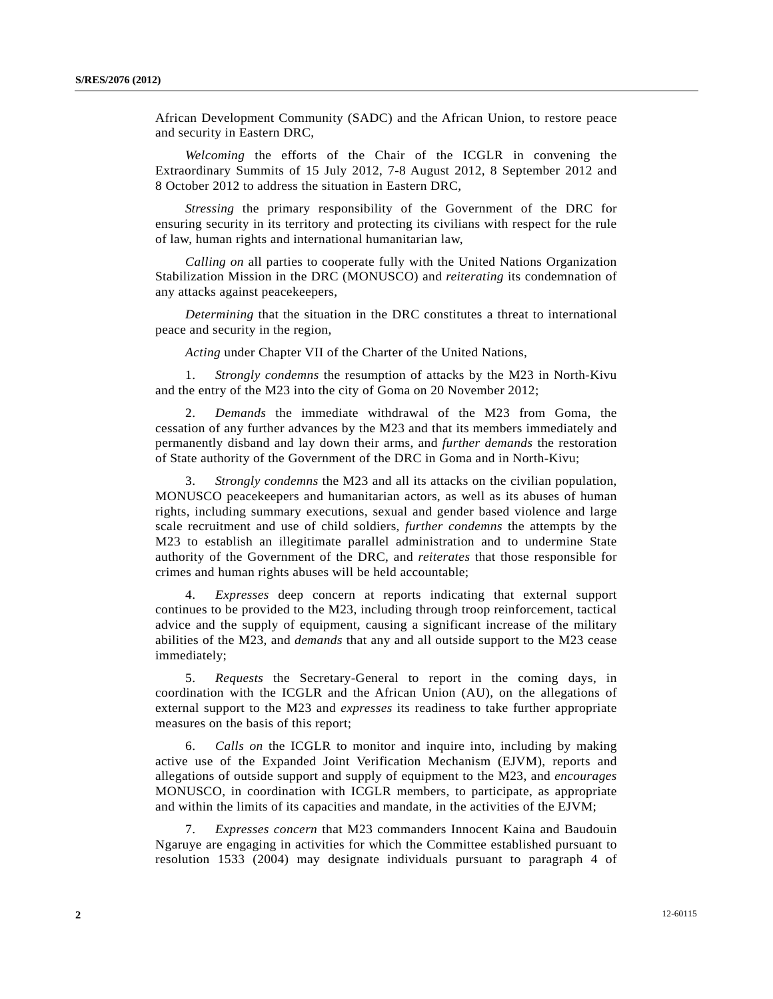African Development Community (SADC) and the African Union, to restore peace and security in Eastern DRC,

*Welcoming* the efforts of the Chair of the ICGLR in convening the Extraordinary Summits of 15 July 2012, 7-8 August 2012, 8 September 2012 and 8 October 2012 to address the situation in Eastern DRC,

*Stressing* the primary responsibility of the Government of the DRC for ensuring security in its territory and protecting its civilians with respect for the rule of law, human rights and international humanitarian law,

*Calling on* all parties to cooperate fully with the United Nations Organization Stabilization Mission in the DRC (MONUSCO) and *reiterating* its condemnation of any attacks against peacekeepers,

*Determining* that the situation in the DRC constitutes a threat to international peace and security in the region,

*Acting* under Chapter VII of the Charter of the United Nations,

 1. *Strongly condemns* the resumption of attacks by the M23 in North-Kivu and the entry of the M23 into the city of Goma on 20 November 2012;

 2. *Demands* the immediate withdrawal of the M23 from Goma, the cessation of any further advances by the M23 and that its members immediately and permanently disband and lay down their arms, and *further demands* the restoration of State authority of the Government of the DRC in Goma and in North-Kivu;

 3. *Strongly condemns* the M23 and all its attacks on the civilian population, MONUSCO peacekeepers and humanitarian actors, as well as its abuses of human rights, including summary executions, sexual and gender based violence and large scale recruitment and use of child soldiers, *further condemns* the attempts by the M23 to establish an illegitimate parallel administration and to undermine State authority of the Government of the DRC, and *reiterates* that those responsible for crimes and human rights abuses will be held accountable;

 4. *Expresses* deep concern at reports indicating that external support continues to be provided to the M23, including through troop reinforcement, tactical advice and the supply of equipment, causing a significant increase of the military abilities of the M23, and *demands* that any and all outside support to the M23 cease immediately;

 5. *Requests* the Secretary-General to report in the coming days, in coordination with the ICGLR and the African Union (AU), on the allegations of external support to the M23 and *expresses* its readiness to take further appropriate measures on the basis of this report;

 6. *Calls on* the ICGLR to monitor and inquire into, including by making active use of the Expanded Joint Verification Mechanism (EJVM), reports and allegations of outside support and supply of equipment to the M23, and *encourages* MONUSCO, in coordination with ICGLR members, to participate, as appropriate and within the limits of its capacities and mandate, in the activities of the EJVM;

 7. *Expresses concern* that M23 commanders Innocent Kaina and Baudouin Ngaruye are engaging in activities for which the Committee established pursuant to resolution 1533 (2004) may designate individuals pursuant to paragraph 4 of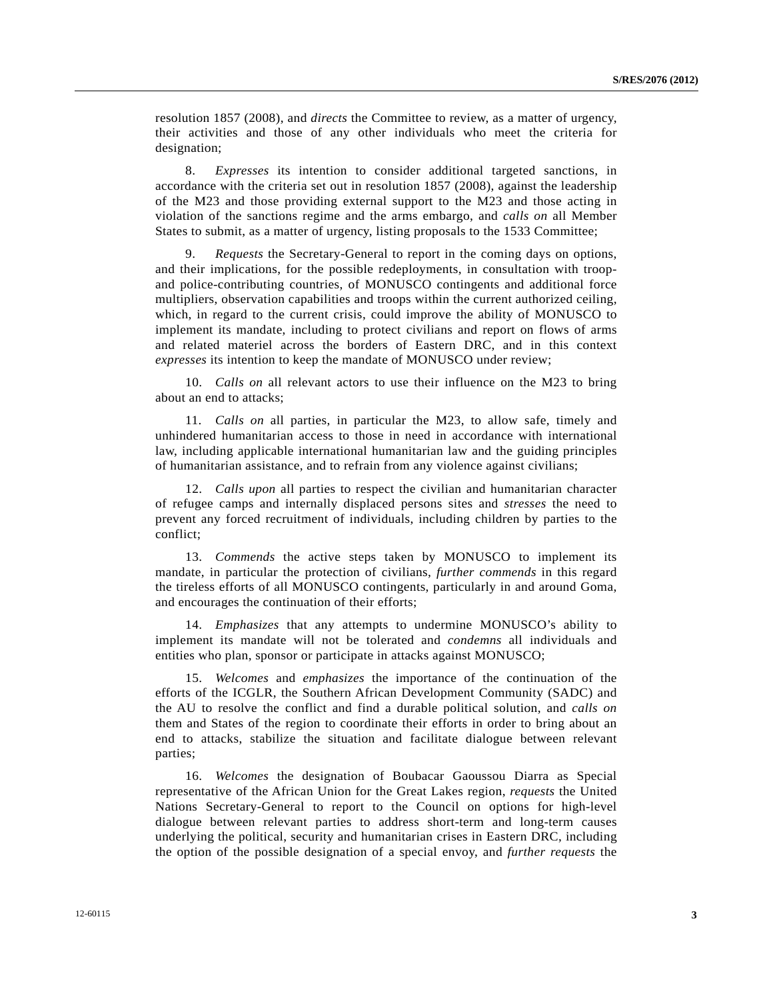resolution 1857 (2008), and *directs* the Committee to review, as a matter of urgency, their activities and those of any other individuals who meet the criteria for designation;

 8. *Expresses* its intention to consider additional targeted sanctions, in accordance with the criteria set out in resolution 1857 (2008), against the leadership of the M23 and those providing external support to the M23 and those acting in violation of the sanctions regime and the arms embargo, and *calls on* all Member States to submit, as a matter of urgency, listing proposals to the 1533 Committee;

 9. *Requests* the Secretary-General to report in the coming days on options, and their implications, for the possible redeployments, in consultation with troopand police-contributing countries, of MONUSCO contingents and additional force multipliers, observation capabilities and troops within the current authorized ceiling, which, in regard to the current crisis, could improve the ability of MONUSCO to implement its mandate, including to protect civilians and report on flows of arms and related materiel across the borders of Eastern DRC, and in this context *expresses* its intention to keep the mandate of MONUSCO under review;

 10. *Calls on* all relevant actors to use their influence on the M23 to bring about an end to attacks;

 11. *Calls on* all parties, in particular the M23, to allow safe, timely and unhindered humanitarian access to those in need in accordance with international law, including applicable international humanitarian law and the guiding principles of humanitarian assistance, and to refrain from any violence against civilians;

 12. *Calls upon* all parties to respect the civilian and humanitarian character of refugee camps and internally displaced persons sites and *stresses* the need to prevent any forced recruitment of individuals, including children by parties to the conflict;

 13. *Commends* the active steps taken by MONUSCO to implement its mandate, in particular the protection of civilians, *further commends* in this regard the tireless efforts of all MONUSCO contingents, particularly in and around Goma, and encourages the continuation of their efforts;

 14. *Emphasizes* that any attempts to undermine MONUSCO's ability to implement its mandate will not be tolerated and *condemns* all individuals and entities who plan, sponsor or participate in attacks against MONUSCO;

 15. *Welcomes* and *emphasizes* the importance of the continuation of the efforts of the ICGLR, the Southern African Development Community (SADC) and the AU to resolve the conflict and find a durable political solution, and *calls on* them and States of the region to coordinate their efforts in order to bring about an end to attacks, stabilize the situation and facilitate dialogue between relevant parties;

 16. *Welcomes* the designation of Boubacar Gaoussou Diarra as Special representative of the African Union for the Great Lakes region, *requests* the United Nations Secretary-General to report to the Council on options for high-level dialogue between relevant parties to address short-term and long-term causes underlying the political, security and humanitarian crises in Eastern DRC, including the option of the possible designation of a special envoy, and *further requests* the